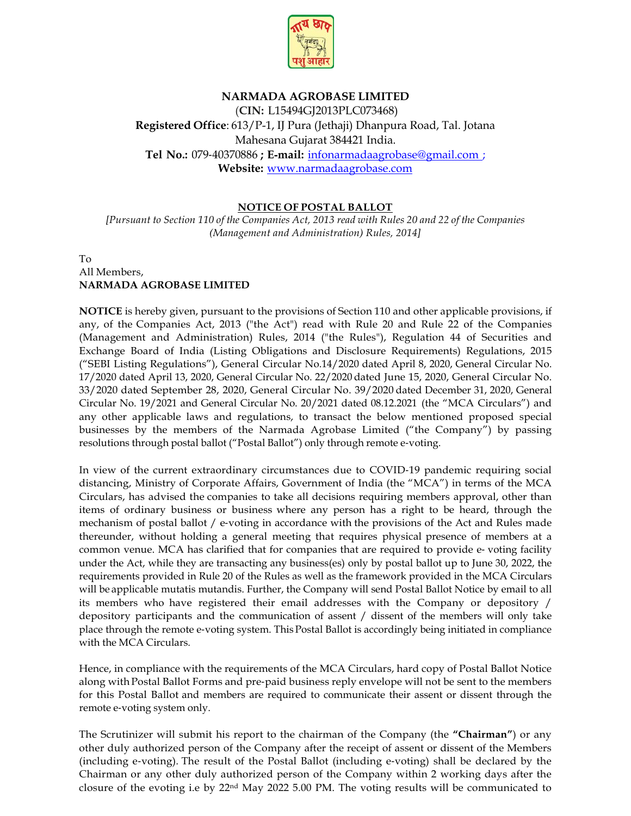

## **NARMADA AGROBASE LIMITED**

(**CIN:** L15494GJ2013PLC073468) **Registered Office**: 613/P-1, IJ Pura (Jethaji) Dhanpura Road, Tal. Jotana Mahesana Gujarat 384421 India. **Tel No.:** 079‐40370886 **; E**‐**mail:** [infonarmadaagrobase@gmail.com](mailto:infonarmadaagrobase@gmail.com) ; **Website:** [www.narmadaagrobase.com](http://www.narmadaagrobase.com/)

## **NOTICE OF POSTAL BALLOT**

*[Pursuant to Section 110 of the Companies Act, 2013 read with Rules 20 and 22 of the Companies (Management and Administration) Rules, 2014]*

## To All Members, **NARMADA AGROBASE LIMITED**

**NOTICE** is hereby given, pursuant to the provisions of Section 110 and other applicable provisions, if any, of the Companies Act, 2013 ("the Act") read with Rule 20 and Rule 22 of the Companies (Management and Administration) Rules, 2014 ("the Rules"), Regulation 44 of Securities and Exchange Board of India (Listing Obligations and Disclosure Requirements) Regulations, 2015 ("SEBI Listing Regulations"), General Circular No.14/2020 dated April 8, 2020, General Circular No. 17/2020 dated April 13, 2020, General Circular No. 22/2020 dated June 15, 2020, General Circular No. 33/2020 dated September 28, 2020, General Circular No. 39/2020 dated December 31, 2020, General Circular No. 19/2021 and General Circular No. 20/2021 dated 08.12.2021 (the "MCA Circulars") and any other applicable laws and regulations, to transact the below mentioned proposed special businesses by the members of the Narmada Agrobase Limited ("the Company") by passing resolutions through postal ballot ("Postal Ballot") only through remote e‐voting.

In view of the current extraordinary circumstances due to COVID-19 pandemic requiring social distancing, Ministry of Corporate Affairs, Government of India (the "MCA") in terms of the MCA Circulars, has advised the companies to take all decisions requiring members approval, other than items of ordinary business or business where any person has a right to be heard, through the mechanism of postal ballot / e-voting in accordance with the provisions of the Act and Rules made thereunder, without holding a general meeting that requires physical presence of members at a common venue. MCA has clarified that for companies that are required to provide e-voting facility under the Act, while they are transacting any business(es) only by postal ballot up to June 30, 2022, the requirements provided in Rule 20 of the Rules as well as the framework provided in the MCA Circulars will be applicable mutatis mutandis. Further, the Company will send Postal Ballot Notice by email to all its members who have registered their email addresses with the Company or depository / depository participants and the communication of assent / dissent of the members will only take place through the remote e‐voting system. This Postal Ballot is accordingly being initiated in compliance with the MCA Circulars.

Hence, in compliance with the requirements of the MCA Circulars, hard copy of Postal Ballot Notice along with Postal Ballot Forms and pre‐paid business reply envelope will not be sent to the members for this Postal Ballot and members are required to communicate their assent or dissent through the remote e‐voting system only.

The Scrutinizer will submit his report to the chairman of the Company (the **"Chairman"**) or any other duly authorized person of the Company after the receipt of assent or dissent of the Members (including e‐voting). The result of the Postal Ballot (including e‐voting) shall be declared by the Chairman or any other duly authorized person of the Company within 2 working days after the closure of the evoting i.e by 22nd May 2022 5.00 PM. The voting results will be communicated to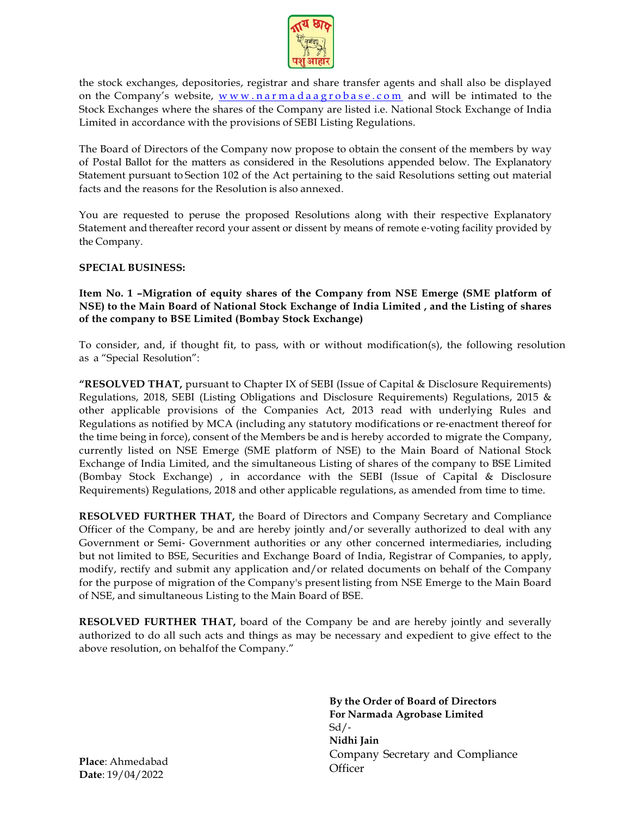

the stock exchanges, depositories, registrar and share transfer agents and shall also be displayed on the Company's website,  $www.narmadaagrobase.com$  and will be intimated to the Stock Exchanges where the shares of the Company are listed i.e. National Stock Exchange of India Limited in accordance with the provisions of SEBI Listing Regulations.

The Board of Directors of the Company now propose to obtain the consent of the members by way of Postal Ballot for the matters as considered in the Resolutions appended below. The Explanatory Statement pursuant to Section 102 of the Act pertaining to the said Resolutions setting out material facts and the reasons for the Resolution is also annexed.

You are requested to peruse the proposed Resolutions along with their respective Explanatory Statement and thereafter record your assent or dissent by means of remote e-voting facility provided by the Company.

#### **SPECIAL BUSINESS:**

**Item No. 1 –Migration of equity shares of the Company from NSE Emerge (SME platform of NSE) to the Main Board of National Stock Exchange of India Limited , and the Listing of shares of the company to BSE Limited (Bombay Stock Exchange)**

To consider, and, if thought fit, to pass, with or without modification(s), the following resolution as a "Special Resolution":

**"RESOLVED THAT,** pursuant to Chapter IX of SEBI (Issue of Capital & Disclosure Requirements) Regulations, 2018, SEBI (Listing Obligations and Disclosure Requirements) Regulations, 2015 & other applicable provisions of the Companies Act, 2013 read with underlying Rules and Regulations as notified by MCA (including any statutory modifications or re-enactment thereof for the time being in force), consent of the Members be andis hereby accorded to migrate the Company, currently listed on NSE Emerge (SME platform of NSE) to the Main Board of National Stock Exchange of India Limited, and the simultaneous Listing of shares of the company to BSE Limited (Bombay Stock Exchange) , in accordance with the SEBI (Issue of Capital & Disclosure Requirements) Regulations, 2018 and other applicable regulations, as amended from time to time.

**RESOLVED FURTHER THAT,** the Board of Directors and Company Secretary and Compliance Officer of the Company, be and are hereby jointly and/or severally authorized to deal with any Government or Semi‐ Government authorities or any other concerned intermediaries, including but not limited to BSE, Securities and Exchange Board of India, Registrar of Companies, to apply, modify, rectify and submit any application and/or related documents on behalf of the Company for the purpose of migration of the Company's present listing from NSE Emerge to the Main Board of NSE, and simultaneous Listing to the Main Board of BSE.

**RESOLVED FURTHER THAT,** board of the Company be and are hereby jointly and severally authorized to do all such acts and things as may be necessary and expedient to give effect to the above resolution, on behalfof the Company."

> **By the Order of Board of Directors For Narmada Agrobase Limited**  $Sd$  /-**Nidhi Jain** Company Secretary and Compliance **Officer**

**Place**: Ahmedabad **Date**: 19/04/2022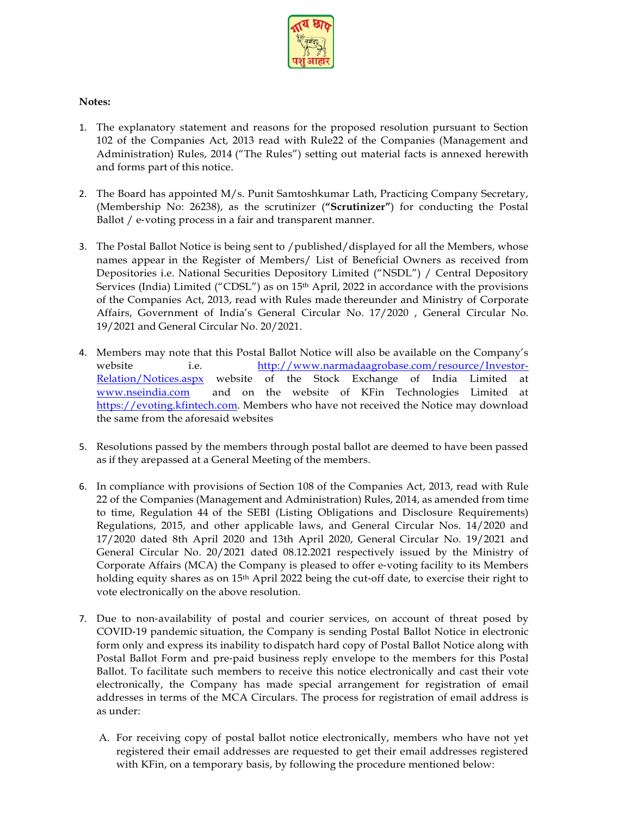

## **Notes:**

- 1. The explanatory statement and reasons for the proposed resolution pursuant to Section 102 of the Companies Act, 2013 read with Rule22 of the Companies (Management and Administration) Rules, 2014 ("The Rules") setting out material facts is annexed herewith and forms part of this notice.
- 2. The Board has appointed M/s. Punit Samtoshkumar Lath, Practicing Company Secretary, (Membership No: 26238), as the scrutinizer (**"Scrutinizer"**) for conducting the Postal Ballot / e-voting process in a fair and transparent manner.
- 3. The Postal Ballot Notice is being sent to /published/displayed for all the Members, whose names appear in the Register of Members/ List of Beneficial Owners as received from Depositories i.e. National Securities Depository Limited ("NSDL") / Central Depository Services (India) Limited ("CDSL") as on  $15<sup>th</sup>$  April, 2022 in accordance with the provisions of the Companies Act, 2013, read with Rules made thereunder and Ministry of Corporate Affairs, Government of India's General Circular No. 17/2020 , General Circular No. 19/2021 and General Circular No. 20/2021.
- 4. Members may note that this Postal Ballot Notice will also be available on the Company's website i.e. [http://www.narmadaagrobase.com/resource/Investor-](http://www.narmadaagrobase.com/resource/Investor-Relation/Notices.aspx)[Relation/Notices.aspx](http://www.narmadaagrobase.com/resource/Investor-Relation/Notices.aspx) website of the Stock Exchange of India Limited at [www.nseindia.com](http://www.nseindia.com/) and on the website of KFin Technologies Limited at [https://evoting.kfintech.com.](https://evoting.kfintech.com/) Members who have not received the Notice may download the same from the aforesaid websites
- 5. Resolutions passed by the members through postal ballot are deemed to have been passed as if they arepassed at a General Meeting of the members.
- 6. In compliance with provisions of Section 108 of the Companies Act, 2013, read with Rule 22 of the Companies (Management and Administration) Rules, 2014, as amended from time to time, Regulation 44 of the SEBI (Listing Obligations and Disclosure Requirements) Regulations, 2015, and other applicable laws, and General Circular Nos. 14/2020 and 17/2020 dated 8th April 2020 and 13th April 2020, General Circular No. 19/2021 and General Circular No. 20/2021 dated 08.12.2021 respectively issued by the Ministry of Corporate Affairs (MCA) the Company is pleased to offer e-voting facility to its Members holding equity shares as on 15<sup>th</sup> April 2022 being the cut-off date, to exercise their right to vote electronically on the above resolution.
- 7. Due to non-availability of postal and courier services, on account of threat posed by COVID‐19 pandemic situation, the Company is sending Postal Ballot Notice in electronic form only and express its inability to dispatch hard copy of Postal Ballot Notice along with Postal Ballot Form and pre‐paid business reply envelope to the members for this Postal Ballot. To facilitate such members to receive this notice electronically and cast their vote electronically, the Company has made special arrangement for registration of email addresses in terms of the MCA Circulars. The process for registration of email address is as under:
	- A. For receiving copy of postal ballot notice electronically, members who have not yet registered their email addresses are requested to get their email addresses registered with KFin, on a temporary basis, by following the procedure mentioned below: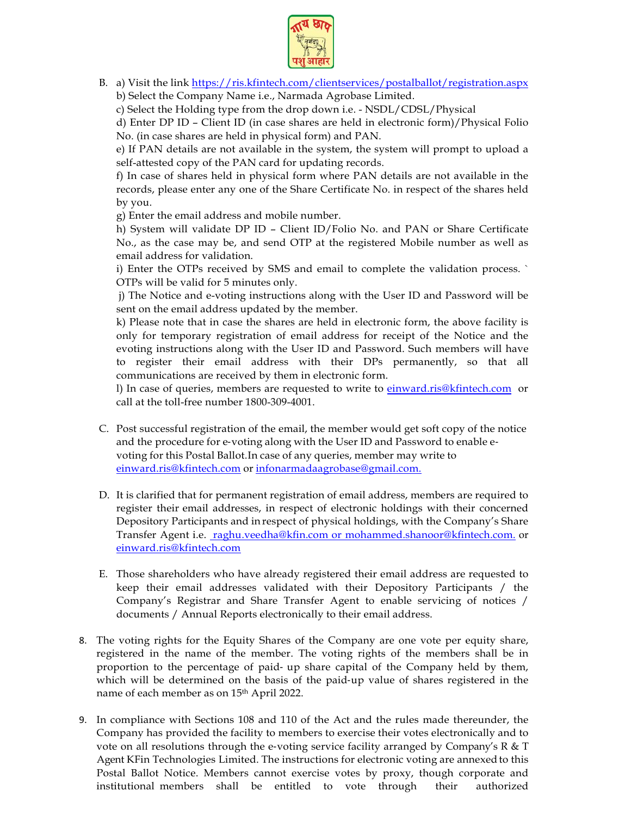

B. a) Visit the link<https://ris.kfintech.com/clientservices/postalballot/registration.aspx> b) Select the Company Name i.e., Narmada Agrobase Limited.

c) Select the Holding type from the drop down i.e. - NSDL/CDSL/Physical

d) Enter DP ID – Client ID (in case shares are held in electronic form)/Physical Folio No. (in case shares are held in physical form) and PAN.

e) If PAN details are not available in the system, the system will prompt to upload a self-attested copy of the PAN card for updating records.

f) In case of shares held in physical form where PAN details are not available in the records, please enter any one of the Share Certificate No. in respect of the shares held by you.

g) Enter the email address and mobile number.

h) System will validate DP ID – Client ID/Folio No. and PAN or Share Certificate No., as the case may be, and send OTP at the registered Mobile number as well as email address for validation.

i) Enter the OTPs received by SMS and email to complete the validation process. ` OTPs will be valid for 5 minutes only.

j) The Notice and e-voting instructions along with the User ID and Password will be sent on the email address updated by the member.

k) Please note that in case the shares are held in electronic form, the above facility is only for temporary registration of email address for receipt of the Notice and the evoting instructions along with the User ID and Password. Such members will have to register their email address with their DPs permanently, so that all communications are received by them in electronic form.

l) In case of queries, members are requested to write to [einward.ris@kfintech.com](mailto:einward.ris@kfintech.com) or call at the toll-free number 1800-309-4001.

- C. Post successful registration of the email, the member would get soft copy of the notice and the procedure for e-voting along with the User ID and Password to enable evoting for this Postal Ballot.In case of any queries, member may write to [einward.ris@kfintech.com](mailto:einward.ris@kfintech.com) or [infonarmadaagrobase@gmail.com.](mailto:infonarmadaagrobase@gmail.com.)
- D. It is clarified that for permanent registration of email address, members are required to register their email addresses, in respect of electronic holdings with their concerned Depository Participants and in respect of physical holdings, with the Company's Share Transfer Agent i.e. raghu.veedha@kfin.com or [mohammed.shanoor@kfintech.com.](mailto:mohammed.shanoor@kfintech.com) or [einward.ris@kfintech.com](mailto:einward.ris@kfintech.com)
- E. Those shareholders who have already registered their email address are requested to keep their email addresses validated with their Depository Participants / the Company's Registrar and Share Transfer Agent to enable servicing of notices / documents / Annual Reports electronically to their email address.
- 8. The voting rights for the Equity Shares of the Company are one vote per equity share, registered in the name of the member. The voting rights of the members shall be in proportion to the percentage of paid‐ up share capital of the Company held by them, which will be determined on the basis of the paid‐up value of shares registered in the name of each member as on 15th April 2022.
- 9. In compliance with Sections 108 and 110 of the Act and the rules made thereunder, the Company has provided the facility to members to exercise their votes electronically and to vote on all resolutions through the e-voting service facility arranged by Company's R & T Agent KFin Technologies Limited. The instructions for electronic voting are annexed to this Postal Ballot Notice. Members cannot exercise votes by proxy, though corporate and institutional members shall be entitled to vote through their authorized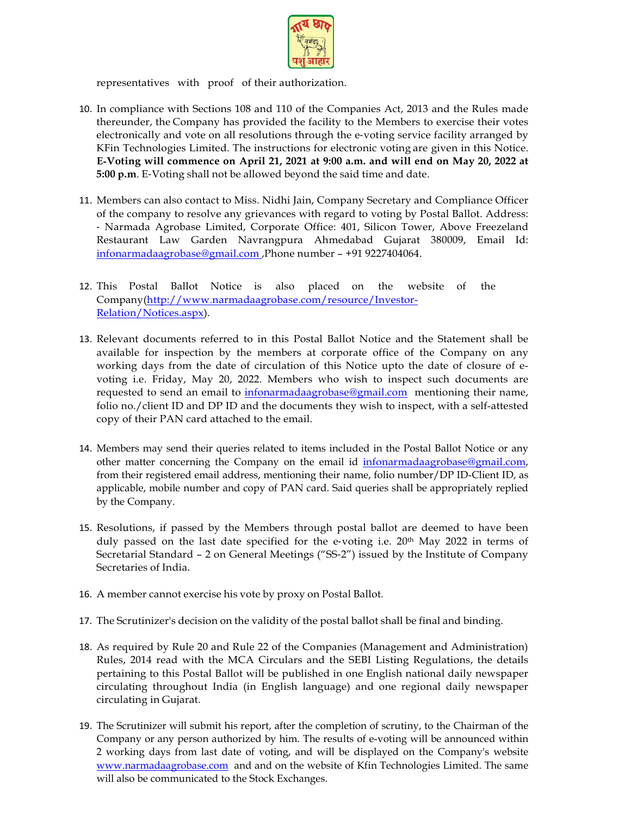

representatives with proof of their authorization.

- 10. In compliance with Sections 108 and 110 of the Companies Act, 2013 and the Rules made thereunder, the Company has provided the facility to the Members to exercise their votes electronically and vote on all resolutions through the e-voting service facility arranged by KFin Technologies Limited. The instructions for electronic voting are given in this Notice. **E**‐**Voting will commence on April 21, 2021 at 9:00 a.m. and will end on May 20, 2022 at 5:00 p.m**. E‐Voting shall not be allowed beyond the said time and date.
- 11. Members can also contact to Miss. Nidhi Jain, Company Secretary and Compliance Officer of the company to resolve any grievances with regard to voting by Postal Ballot. Address: ‐ Narmada Agrobase Limited, Corporate Office: 401, Silicon Tower, Above Freezeland Restaurant Law Garden Navrangpura Ahmedabad Gujarat 380009, Email Id: [infonarmadaagrobase@gmail.com](mailto:infonarmadaagrobase@gmail.com) ,Phone number – +91 9227404064.
- 12. This Postal Ballot Notice is also placed on the website of the Company[\(http://www.narmadaagrobase.com/resource/Investor-](http://www.narmadaagrobase.com/resource/Investor-Relation/Notices.aspx)[Relation/Notices.aspx\)](http://www.narmadaagrobase.com/resource/Investor-Relation/Notices.aspx).
- 13. Relevant documents referred to in this Postal Ballot Notice and the Statement shall be available for inspection by the members at corporate office of the Company on any working days from the date of circulation of this Notice upto the date of closure of evoting i.e. Friday, May 20, 2022. Members who wish to inspect such documents are requested to send an email to [infonarmadaagrobase@gmail.com](mailto:infonarmadaagrobase@gmail.com) mentioning their name, folio no./client ID and DP ID and the documents they wish to inspect, with a self-attested copy of their PAN card attached to the email.
- 14. Members may send their queries related to items included in the Postal Ballot Notice or any other matter concerning the Company on the email id [infonarmadaagrobase@gmail.com,](mailto:infonarmadaagrobase@gmail.com)  from their registered email address, mentioning their name, folio number/DP ID-Client ID, as applicable, mobile number and copy of PAN card. Said queries shall be appropriately replied by the Company.
- 15. Resolutions, if passed by the Members through postal ballot are deemed to have been duly passed on the last date specified for the e-voting i.e.  $20<sup>th</sup>$  May 2022 in terms of Secretarial Standard – 2 on General Meetings ("SS‐2") issued by the Institute of Company Secretaries of India.
- 16. A member cannot exercise his vote by proxy on Postal Ballot.
- 17. The Scrutinizer's decision on the validity of the postal ballot shall be final and binding.
- 18. As required by Rule 20 and Rule 22 of the Companies (Management and Administration) Rules, 2014 read with the MCA Circulars and the SEBI Listing Regulations, the details pertaining to this Postal Ballot will be published in one English national daily newspaper circulating throughout India (in English language) and one regional daily newspaper circulating in Gujarat.
- 19. The Scrutinizer will submit his report, after the completion of scrutiny, to the Chairman of the Company or any person authorized by him. The results of e-voting will be announced within 2 working days from last date of voting, and will be displayed on the Company's website [www.narmadaagrobase.com](http://www.narmadaagrobase.com/) and and on the website of Kfin Technologies Limited. The same will also be communicated to the Stock Exchanges.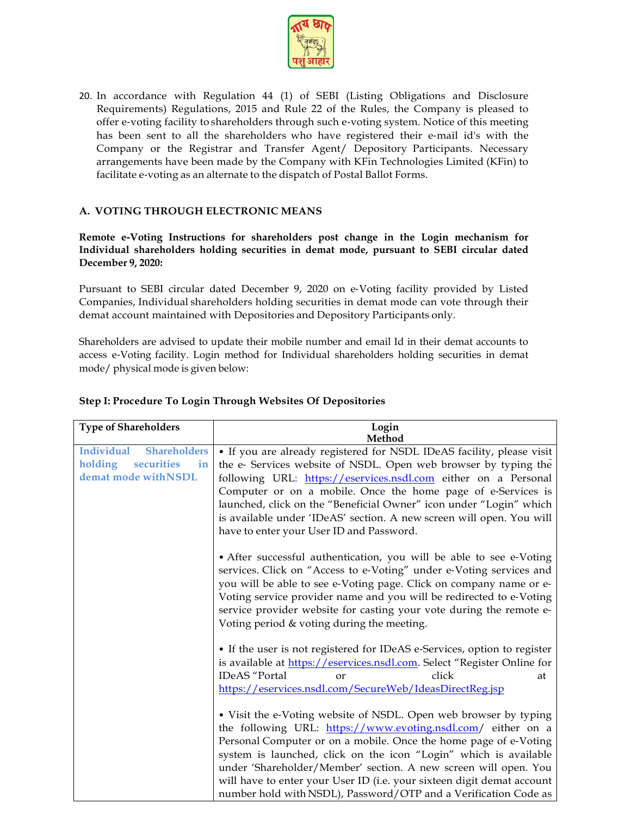

20. In accordance with Regulation 44 (1) of SEBI (Listing Obligations and Disclosure Requirements) Regulations, 2015 and Rule 22 of the Rules, the Company is pleased to offer e‐voting facility to shareholders through such e‐voting system. Notice of this meeting has been sent to all the shareholders who have registered their e‐mail id's with the Company or the Registrar and Transfer Agent/ Depository Participants. Necessary arrangements have been made by the Company with KFin Technologies Limited (KFin) to facilitate e‐voting as an alternate to the dispatch of Postal Ballot Forms.

### **A. VOTING THROUGH ELECTRONIC MEANS**

**Remote e**‐**Voting Instructions for shareholders post change in the Login mechanism for Individual shareholders holding securities in demat mode, pursuant to SEBI circular dated December 9, 2020:**

Pursuant to SEBI circular dated December 9, 2020 on e‐Voting facility provided by Listed Companies, Individual shareholders holding securities in demat mode can vote through their demat account maintained with Depositories and Depository Participants only.

Shareholders are advised to update their mobile number and email Id in their demat accounts to access e‐Voting facility. Login method for Individual shareholders holding securities in demat mode/ physical mode is given below:

| <b>Type of Shareholders</b>                                                              | Login<br>Method                                                                                                                                                                                                                                                                                                                                                                                                                                                                          |
|------------------------------------------------------------------------------------------|------------------------------------------------------------------------------------------------------------------------------------------------------------------------------------------------------------------------------------------------------------------------------------------------------------------------------------------------------------------------------------------------------------------------------------------------------------------------------------------|
| Individual<br><b>Shareholders</b><br>securities<br>holding<br>in<br>demat mode with NSDL | • If you are already registered for NSDL IDeAS facility, please visit<br>the e- Services website of NSDL. Open web browser by typing the<br>following URL: https://eservices.nsdl.com either on a Personal<br>Computer or on a mobile. Once the home page of e-Services is<br>launched, click on the "Beneficial Owner" icon under "Login" which<br>is available under 'IDeAS' section. A new screen will open. You will<br>have to enter your User ID and Password.                     |
|                                                                                          | • After successful authentication, you will be able to see e-Voting<br>services. Click on "Access to e-Voting" under e-Voting services and<br>you will be able to see e-Voting page. Click on company name or e-<br>Voting service provider name and you will be redirected to e-Voting<br>service provider website for casting your vote during the remote e-<br>Voting period & voting during the meeting.                                                                             |
|                                                                                          | • If the user is not registered for IDeAS e-Services, option to register<br>is available at https://eservices.nsdl.com. Select "Register Online for<br>IDeAS "Portal<br>click<br>or<br>at<br>https://eservices.nsdl.com/SecureWeb/IdeasDirectReg.jsp                                                                                                                                                                                                                                     |
|                                                                                          | • Visit the e-Voting website of NSDL. Open web browser by typing<br>the following URL: https://www.evoting.nsdl.com/ either on a<br>Personal Computer or on a mobile. Once the home page of e-Voting<br>system is launched, click on the icon "Login" which is available<br>under 'Shareholder/Member' section. A new screen will open. You<br>will have to enter your User ID (i.e. your sixteen digit demat account<br>number hold with NSDL), Password/OTP and a Verification Code as |

#### **Step I: Procedure To Login Through Websites Of Depositories**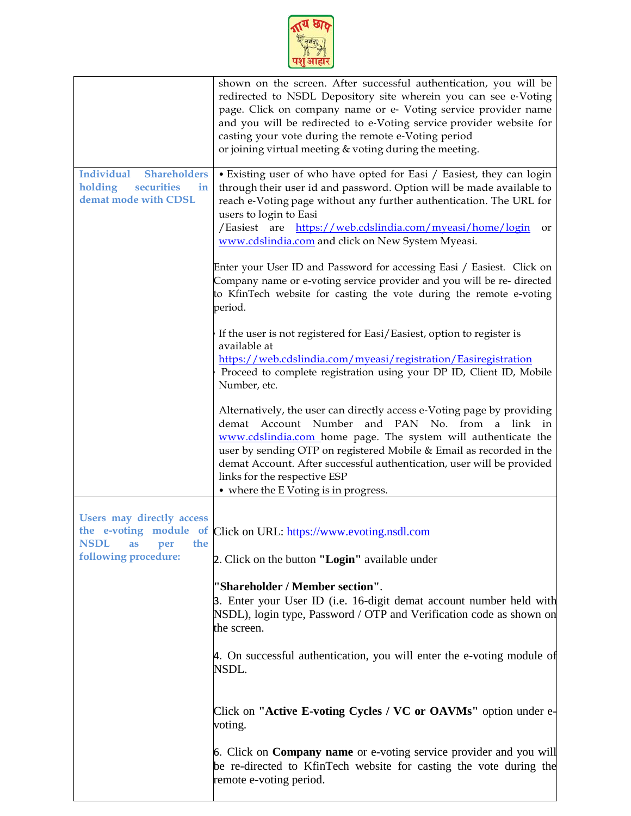

|                                                                                                 | shown on the screen. After successful authentication, you will be<br>redirected to NSDL Depository site wherein you can see e-Voting<br>page. Click on company name or e- Voting service provider name<br>and you will be redirected to e-Voting service provider website for<br>casting your vote during the remote e-Voting period<br>or joining virtual meeting & voting during the meeting.                    |
|-------------------------------------------------------------------------------------------------|--------------------------------------------------------------------------------------------------------------------------------------------------------------------------------------------------------------------------------------------------------------------------------------------------------------------------------------------------------------------------------------------------------------------|
| <b>Individual</b><br><b>Shareholders</b><br>securities<br>holding<br>in<br>demat mode with CDSL | • Existing user of who have opted for Easi / Easiest, they can login<br>through their user id and password. Option will be made available to<br>reach e-Voting page without any further authentication. The URL for<br>users to login to Easi<br>/Easiest are https://web.cdslindia.com/myeasi/home/login<br>or<br>www.cdslindia.com and click on New System Myeasi.                                               |
|                                                                                                 | Enter your User ID and Password for accessing Easi / Easiest. Click on<br>Company name or e-voting service provider and you will be re-directed<br>to KfinTech website for casting the vote during the remote e-voting<br>period.                                                                                                                                                                                  |
|                                                                                                 | If the user is not registered for Easi/Easiest, option to register is<br>available at<br>https://web.cdslindia.com/myeasi/registration/Easiregistration<br>Proceed to complete registration using your DP ID, Client ID, Mobile<br>Number, etc.                                                                                                                                                                    |
|                                                                                                 | Alternatively, the user can directly access e-Voting page by providing<br>demat Account Number and PAN No. from a link in<br>www.cdslindia.com home page. The system will authenticate the<br>user by sending OTP on registered Mobile & Email as recorded in the<br>demat Account. After successful authentication, user will be provided<br>links for the respective ESP<br>• where the E Voting is in progress. |
| <b>Users may directly access</b><br><b>NSDL</b><br>the<br>as<br>per<br>following procedure:     | the e-voting module of Click on URL: https://www.evoting.nsdl.com<br>2. Click on the button "Login" available under                                                                                                                                                                                                                                                                                                |
|                                                                                                 | "Shareholder / Member section".<br>3. Enter your User ID (i.e. 16-digit demat account number held with<br>NSDL), login type, Password / OTP and Verification code as shown on<br>the screen.                                                                                                                                                                                                                       |
|                                                                                                 | 4. On successful authentication, you will enter the e-voting module of<br>NSDL.                                                                                                                                                                                                                                                                                                                                    |
|                                                                                                 | Click on "Active E-voting Cycles / VC or OAVMs" option under e-<br>voting.                                                                                                                                                                                                                                                                                                                                         |
|                                                                                                 | 6. Click on <b>Company name</b> or e-voting service provider and you will<br>be re-directed to KfinTech website for casting the vote during the<br>remote e-voting period.                                                                                                                                                                                                                                         |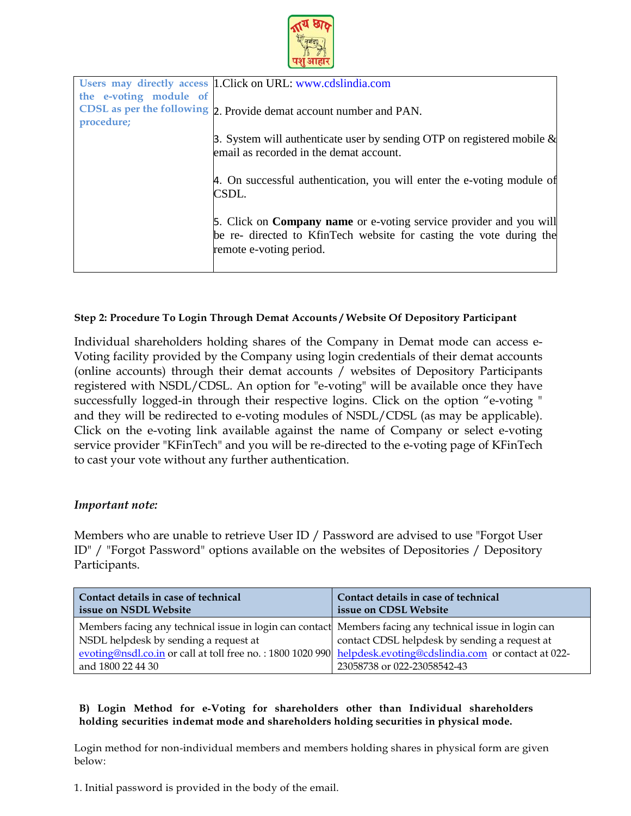

|                        | Users may directly access  1. Click on URL: www.cdslindia.com                                                                                                               |
|------------------------|-----------------------------------------------------------------------------------------------------------------------------------------------------------------------------|
|                        |                                                                                                                                                                             |
| the e-voting module of |                                                                                                                                                                             |
|                        | CDSL as per the following 2. Provide demat account number and PAN.                                                                                                          |
| procedure;             |                                                                                                                                                                             |
|                        | 3. System will authenticate user by sending OTP on registered mobile $\&$<br>email as recorded in the demat account.                                                        |
|                        | 4. On successful authentication, you will enter the e-voting module of<br>CSDL.                                                                                             |
|                        | 5. Click on <b>Company name</b> or e-voting service provider and you will<br>be re- directed to KfinTech website for casting the vote during the<br>remote e-voting period. |
|                        |                                                                                                                                                                             |

# **Step 2: Procedure To Login Through Demat Accounts / Website Of Depository Participant**

Individual shareholders holding shares of the Company in Demat mode can access e-Voting facility provided by the Company using login credentials of their demat accounts (online accounts) through their demat accounts / websites of Depository Participants registered with NSDL/CDSL. An option for "e-voting" will be available once they have successfully logged-in through their respective logins. Click on the option "e-voting " and they will be redirected to e-voting modules of NSDL/CDSL (as may be applicable). Click on the e-voting link available against the name of Company or select e-voting service provider "KFinTech" and you will be re-directed to the e-voting page of KFinTech to cast your vote without any further authentication.

# *Important note:*

Members who are unable to retrieve User ID / Password are advised to use "Forgot User ID" / "Forgot Password" options available on the websites of Depositories / Depository Participants.

| Contact details in case of technical                                                                                                                                                                                                                                                  | Contact details in case of technical                                         |
|---------------------------------------------------------------------------------------------------------------------------------------------------------------------------------------------------------------------------------------------------------------------------------------|------------------------------------------------------------------------------|
| issue on NSDL Website                                                                                                                                                                                                                                                                 | issue on CDSL Website                                                        |
| Members facing any technical issue in login can contact Members facing any technical issue in login can<br>NSDL helpdesk by sending a request at<br>evoting@nsdl.co.in or call at toll free no.: 1800 1020 990 helpdesk.evoting@cdslindia.com or contact at 022-<br>and 1800 22 44 30 | contact CDSL helpdesk by sending a request at<br>23058738 or 022-23058542-43 |

# **B) Login Method for e**‐**Voting for shareholders other than Individual shareholders holding securities indemat mode and shareholders holding securities in physical mode.**

Login method for non-individual members and members holding shares in physical form are given below:

1. Initial password is provided in the body of the email.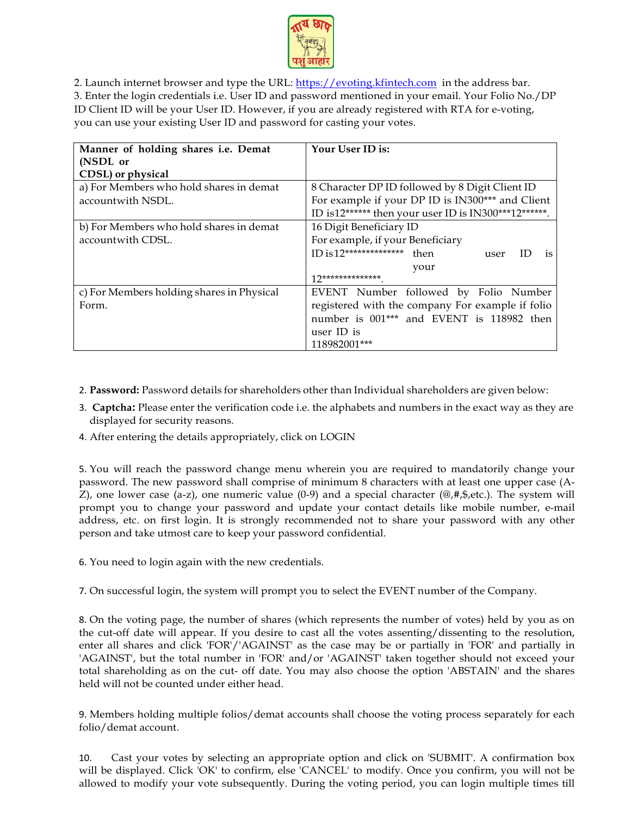

2. Launch internet browser and type the URL: [https://evoting.kfintech.com](https://evoting.kfintech.com/) in the address bar. 3. Enter the login credentials i.e. User ID and password mentioned in your email. Your Folio No./DP ID Client ID will be your User ID. However, if you are already registered with RTA for e-voting, you can use your existing User ID and password for casting your votes.

| Manner of holding shares i.e. Demat       | Your User ID is:                                        |
|-------------------------------------------|---------------------------------------------------------|
| (NSDL or                                  |                                                         |
| CDSL) or physical                         |                                                         |
| a) For Members who hold shares in demat   | 8 Character DP ID followed by 8 Digit Client ID         |
| accountwith NSDL.                         | For example if your DP ID is IN300*** and Client        |
|                                           | ID is12****** then your user ID is IN300***12******.    |
| b) For Members who hold shares in demat   | 16 Digit Beneficiary ID                                 |
| accountwith CDSL.                         | For example, if your Beneficiary                        |
|                                           | ID is $12****************$<br>then<br>ID.<br>is<br>user |
|                                           | your                                                    |
|                                           | $12*******************$                                 |
| c) For Members holding shares in Physical | EVENT Number followed by Folio Number                   |
| Form.                                     | registered with the company For example if folio        |
|                                           | number is 001*** and EVENT is 118982 then               |
|                                           | user ID is                                              |
|                                           | 118982001***                                            |

- 2. **Password:** Password details for shareholders other than Individual shareholders are given below:
- 3. **Captcha:** Please enter the verification code i.e. the alphabets and numbers in the exact way as they are displayed for security reasons.
- 4. After entering the details appropriately, click on LOGIN

5. You will reach the password change menu wherein you are required to mandatorily change your password. The new password shall comprise of minimum 8 characters with at least one upper case (A-Z), one lower case (a-z), one numeric value  $(0-9)$  and a special character  $(\mathcal{Q},\#,\$,\text{etc.})$ . The system will prompt you to change your password and update your contact details like mobile number, e-mail address, etc. on first login. It is strongly recommended not to share your password with any other person and take utmost care to keep your password confidential.

6. You need to login again with the new credentials.

7. On successful login, the system will prompt you to select the EVENT number of the Company.

8. On the voting page, the number of shares (which represents the number of votes) held by you as on the cut-off date will appear. If you desire to cast all the votes assenting/dissenting to the resolution, enter all shares and click 'FOR'/'AGAINST' as the case may be or partially in 'FOR' and partially in 'AGAINST', but the total number in 'FOR' and/or 'AGAINST' taken together should not exceed your total shareholding as on the cut- off date. You may also choose the option 'ABSTAIN' and the shares held will not be counted under either head.

9. Members holding multiple folios/demat accounts shall choose the voting process separately for each folio/demat account.

10. Cast your votes by selecting an appropriate option and click on 'SUBMIT'. A confirmation box will be displayed. Click 'OK' to confirm, else 'CANCEL' to modify. Once you confirm, you will not be allowed to modify your vote subsequently. During the voting period, you can login multiple times till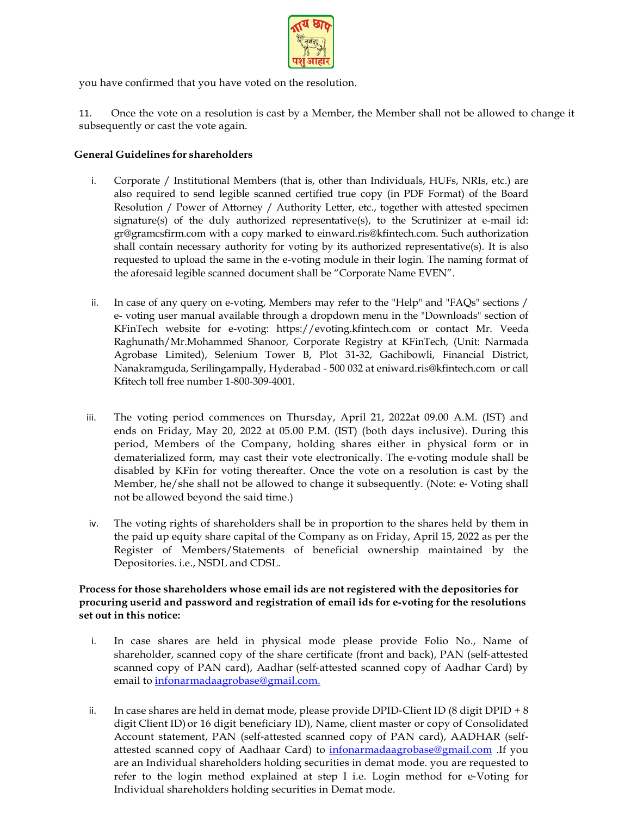

you have confirmed that you have voted on the resolution.

11. Once the vote on a resolution is cast by a Member, the Member shall not be allowed to change it subsequently or cast the vote again.

#### **General Guidelines for shareholders**

- i. Corporate / Institutional Members (that is, other than Individuals, HUFs, NRIs, etc.) are also required to send legible scanned certified true copy (in PDF Format) of the Board Resolution / Power of Attorney / Authority Letter, etc., together with attested specimen signature(s) of the duly authorized representative(s), to the Scrutinizer at e-mail id: gr@gramcsfirm.com with a copy marked to einward.ris@kfintech.com. Such authorization shall contain necessary authority for voting by its authorized representative(s). It is also requested to upload the same in the e-voting module in their login. The naming format of the aforesaid legible scanned document shall be "Corporate Name EVEN".
- ii. In case of any query on e-voting, Members may refer to the "Help" and "FAQs" sections / e- voting user manual available through a dropdown menu in the "Downloads" section of KFinTech website for e-voting: https://evoting.kfintech.com or contact Mr. Veeda Raghunath/Mr.Mohammed Shanoor, Corporate Registry at KFinTech, (Unit: Narmada Agrobase Limited), Selenium Tower B, Plot 31-32, Gachibowli, Financial District, Nanakramguda, Serilingampally, Hyderabad - 500 032 at eniward.ris@kfintech.com or call Kfitech toll free number 1-800-309-4001.
- iii. The voting period commences on Thursday, April 21, 2022at 09.00 A.M. (IST) and ends on Friday, May 20, 2022 at 05.00 P.M. (IST) (both days inclusive). During this period, Members of the Company, holding shares either in physical form or in dematerialized form, may cast their vote electronically. The e-voting module shall be disabled by KFin for voting thereafter. Once the vote on a resolution is cast by the Member, he/she shall not be allowed to change it subsequently. (Note: e‐ Voting shall not be allowed beyond the said time.)
- iv. The voting rights of shareholders shall be in proportion to the shares held by them in the paid up equity share capital of the Company as on Friday, April 15, 2022 as per the Register of Members/Statements of beneficial ownership maintained by the Depositories. i.e., NSDL and CDSL.

### **Process for those shareholders whose email ids are not registered with the depositories for procuring userid and password and registration of email ids for e**‐**voting for the resolutions set out in this notice:**

- i. In case shares are held in physical mode please provide Folio No., Name of shareholder, scanned copy of the share certificate (front and back), PAN (self-attested scanned copy of PAN card), Aadhar (self-attested scanned copy of Aadhar Card) by email to [infonarmadaagrobase@gmail.com.](mailto:infonarmadaagrobase@gmail.com.)
- ii. In case shares are held in demat mode, please provide DPID‐Client ID (8 digit DPID + 8 digit Client ID) or 16 digit beneficiary ID), Name, client master or copy of Consolidated Account statement, PAN (self‐attested scanned copy of PAN card), AADHAR (self‐ attested scanned copy of Aadhaar Card) to infonarmadaagrobase@gmail.com .If you are an Individual shareholders holding securities in demat mode. you are requested to refer to the login method explained at step I i.e. Login method for e‐Voting for Individual shareholders holding securities in Demat mode.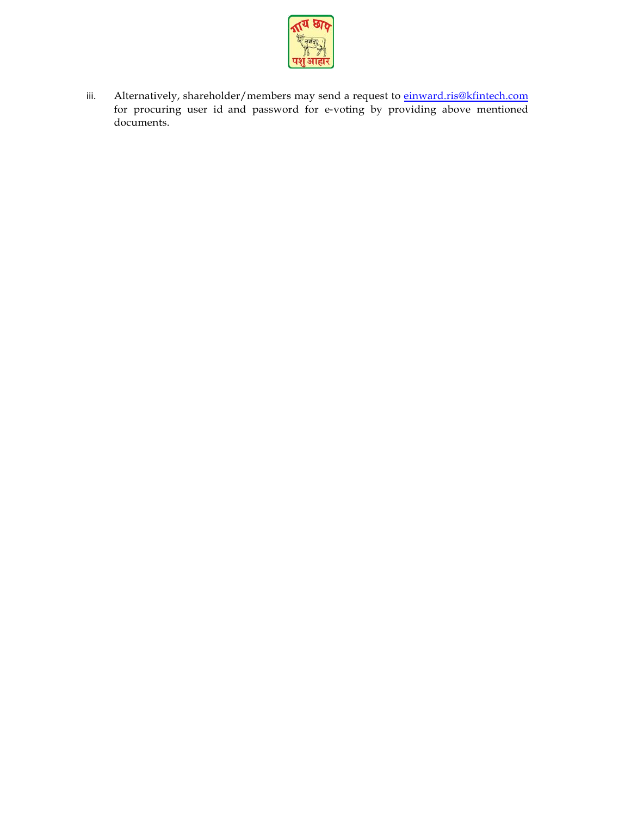

iii. Alternatively, shareholder/members may send a request to [einward.ris@kfintech.com](mailto:einward.ris@kfintech.com) for procuring user id and password for e‐voting by providing above mentioned documents.